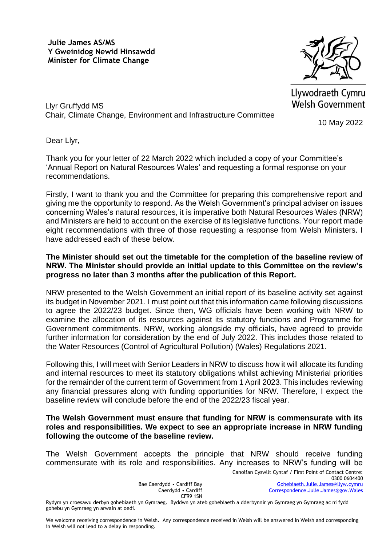**Julie James AS/MS Y Gweinidog Newid Hinsawdd Minister for Climate Change**



Llywodraeth Cymru **Welsh Government** 

10 May 2022

Dear Llyr,

Llyr Gruffydd MS

Thank you for your letter of 22 March 2022 which included a copy of your Committee's 'Annual Report on Natural Resources Wales' and requesting a formal response on your recommendations.

Chair, Climate Change, Environment and Infrastructure Committee

Firstly, I want to thank you and the Committee for preparing this comprehensive report and giving me the opportunity to respond. As the Welsh Government's principal adviser on issues concerning Wales's natural resources, it is imperative both Natural Resources Wales (NRW) and Ministers are held to account on the exercise of its legislative functions. Your report made eight recommendations with three of those requesting a response from Welsh Ministers. I have addressed each of these below.

## **The Minister should set out the timetable for the completion of the baseline review of NRW. The Minister should provide an initial update to this Committee on the review's progress no later than 3 months after the publication of this Report.**

NRW presented to the Welsh Government an initial report of its baseline activity set against its budget in November 2021. I must point out that this information came following discussions to agree the 2022/23 budget. Since then, WG officials have been working with NRW to examine the allocation of its resources against its statutory functions and Programme for Government commitments. NRW, working alongside my officials, have agreed to provide further information for consideration by the end of July 2022. This includes those related to the Water Resources (Control of Agricultural Pollution) (Wales) Regulations 2021.

Following this, I will meet with Senior Leaders in NRW to discuss how it will allocate its funding and internal resources to meet its statutory obligations whilst achieving Ministerial priorities for the remainder of the current term of Government from 1 April 2023. This includes reviewing any financial pressures along with funding opportunities for NRW. Therefore, I expect the baseline review will conclude before the end of the 2022/23 fiscal year.

## **The Welsh Government must ensure that funding for NRW is commensurate with its roles and responsibilities. We expect to see an appropriate increase in NRW funding following the outcome of the baseline review.**

The Welsh Government accepts the principle that NRW should receive funding commensurate with its role and responsibilities. Any increases to NRW's funding will be

Bae Caerdydd • Cardiff Bay Caerdydd • Cardiff CF99 1SN

Rydym yn croesawu derbyn gohebiaeth yn Gymraeg. Byddwn yn ateb gohebiaeth a dderbynnir yn Gymraeg yn Gymraeg ac ni fydd gohebu yn Gymraeg yn arwain at oedi.